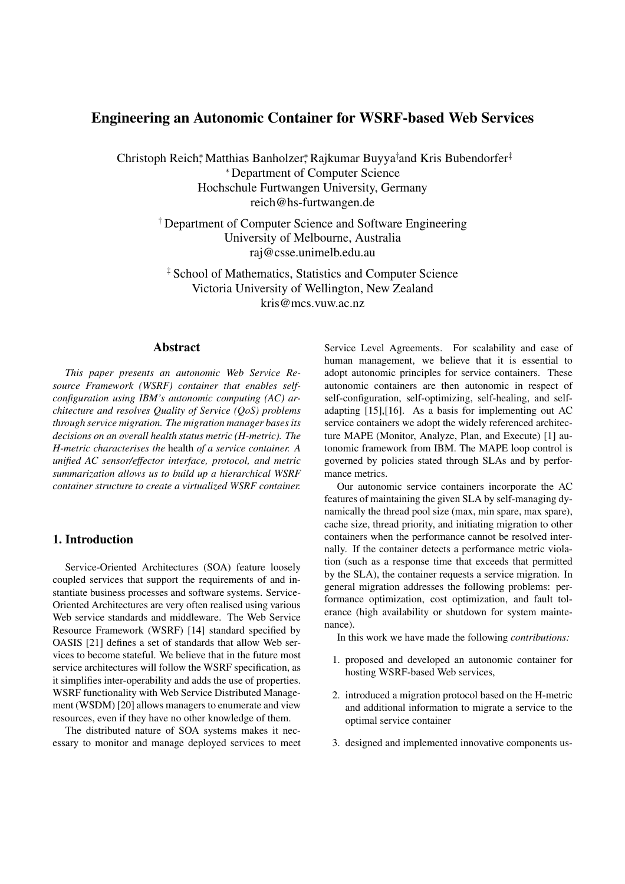### **Engineering an Autonomic Container for WSRF-based Web Services**

Christoph Reich\*, Matthias Banholzer\*, Rajkumar Buyya†and Kris Bubendorfer‡ <sup>∗</sup> Department of Computer Science Hochschule Furtwangen University, Germany reich@hs-furtwangen.de

† Department of Computer Science and Software Engineering University of Melbourne, Australia raj@csse.unimelb.edu.au

‡ School of Mathematics, Statistics and Computer Science Victoria University of Wellington, New Zealand kris@mcs.vuw.ac.nz

### **Abstract**

*This paper presents an autonomic Web Service Resource Framework (WSRF) container that enables selfconfiguration using IBM's autonomic computing (AC) architecture and resolves Quality of Service (QoS) problems through service migration. The migration manager bases its decisions on an overall health status metric (H-metric). The H-metric characterises the* health *of a service container. A unified AC sensor/effector interface, protocol, and metric summarization allows us to build up a hierarchical WSRF container structure to create a virtualized WSRF container.*

### **1. Introduction**

Service-Oriented Architectures (SOA) feature loosely coupled services that support the requirements of and instantiate business processes and software systems. Service-Oriented Architectures are very often realised using various Web service standards and middleware. The Web Service Resource Framework (WSRF) [14] standard specified by OASIS [21] defines a set of standards that allow Web services to become stateful. We believe that in the future most service architectures will follow the WSRF specification, as it simplifies inter-operability and adds the use of properties. WSRF functionality with Web Service Distributed Management (WSDM) [20] allows managers to enumerate and view resources, even if they have no other knowledge of them.

The distributed nature of SOA systems makes it necessary to monitor and manage deployed services to meet Service Level Agreements. For scalability and ease of human management, we believe that it is essential to adopt autonomic principles for service containers. These autonomic containers are then autonomic in respect of self-configuration, self-optimizing, self-healing, and selfadapting [15],[16]. As a basis for implementing out AC service containers we adopt the widely referenced architecture MAPE (Monitor, Analyze, Plan, and Execute) [1] autonomic framework from IBM. The MAPE loop control is governed by policies stated through SLAs and by performance metrics.

Our autonomic service containers incorporate the AC features of maintaining the given SLA by self-managing dynamically the thread pool size (max, min spare, max spare), cache size, thread priority, and initiating migration to other containers when the performance cannot be resolved internally. If the container detects a performance metric violation (such as a response time that exceeds that permitted by the SLA), the container requests a service migration. In general migration addresses the following problems: performance optimization, cost optimization, and fault tolerance (high availability or shutdown for system maintenance).

In this work we have made the following *contributions:*

- 1. proposed and developed an autonomic container for hosting WSRF-based Web services,
- 2. introduced a migration protocol based on the H-metric and additional information to migrate a service to the optimal service container
- 3. designed and implemented innovative components us-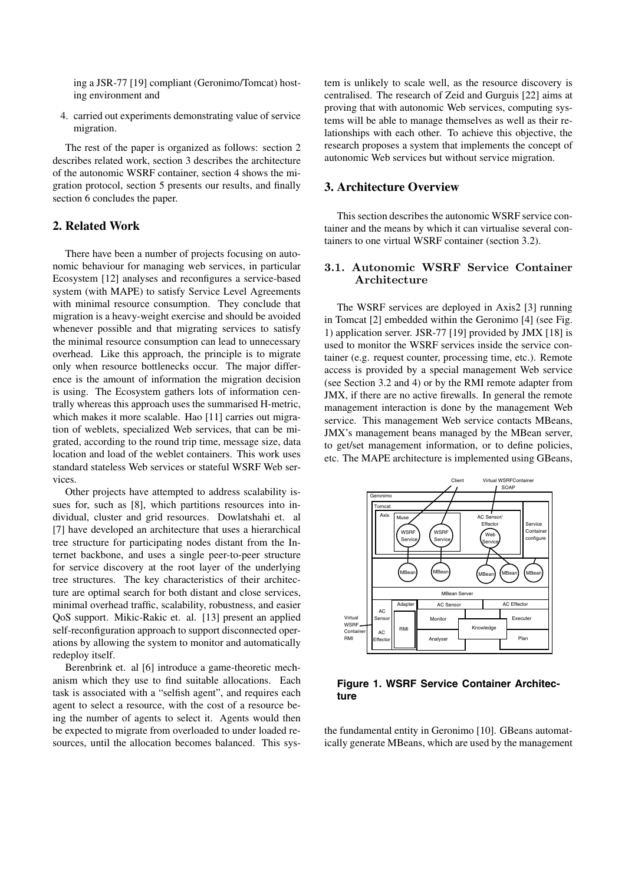ing a JSR-77 [19] compliant (Geronimo/Tomcat) hosting environment and

4. carried out experiments demonstrating value of service migration.

The rest of the paper is organized as follows: section 2 describes related work, section 3 describes the architecture of the autonomic WSRF container, section 4 shows the migration protocol, section 5 presents our results, and finally section 6 concludes the paper.

### **2. Related Work**

There have been a number of projects focusing on autonomic behaviour for managing web services, in particular Ecosystem [12] analyses and reconfigures a service-based system (with MAPE) to satisfy Service Level Agreements with minimal resource consumption. They conclude that migration is a heavy-weight exercise and should be avoided whenever possible and that migrating services to satisfy the minimal resource consumption can lead to unnecessary overhead. Like this approach, the principle is to migrate only when resource bottlenecks occur. The major difference is the amount of information the migration decision is using. The Ecosystem gathers lots of information centrally whereas this approach uses the summarised H-metric, which makes it more scalable. Hao [11] carries out migration of weblets, specialized Web services, that can be migrated, according to the round trip time, message size, data location and load of the weblet containers. This work uses standard stateless Web services or stateful WSRF Web services.

Other projects have attempted to address scalability issues for, such as [8], which partitions resources into individual, cluster and grid resources. Dowlatshahi et. al [7] have developed an architecture that uses a hierarchical tree structure for participating nodes distant from the Internet backbone, and uses a single peer-to-peer structure for service discovery at the root layer of the underlying tree structures. The key characteristics of their architecture are optimal search for both distant and close services, minimal overhead traffic, scalability, robustness, and easier QoS support. Mikic-Rakic et. al. [13] present an applied self-reconfiguration approach to support disconnected operations by allowing the system to monitor and automatically redeploy itself.

Berenbrink et. al [6] introduce a game-theoretic mechanism which they use to find suitable allocations. Each task is associated with a "selfish agent", and requires each agent to select a resource, with the cost of a resource being the number of agents to select it. Agents would then be expected to migrate from overloaded to under loaded resources, until the allocation becomes balanced. This system is unlikely to scale well, as the resource discovery is centralised. The research of Zeid and Gurguis [22] aims at proving that with autonomic Web services, computing systems will be able to manage themselves as well as their relationships with each other. To achieve this objective, the research proposes a system that implements the concept of autonomic Web services but without service migration.

#### **3. Architecture Overview**

This section describes the autonomic WSRF service container and the means by which it can virtualise several containers to one virtual WSRF container (section 3.2).

# **3.1. Autonomic WSRF Service Container**

The WSRF services are deployed in Axis2 [3] running in Tomcat [2] embedded within the Geronimo [4] (see Fig. 1) application server. JSR-77 [19] provided by JMX [18] is used to monitor the WSRF services inside the service container (e.g. request counter, processing time, etc.). Remote access is provided by a special management Web service (see Section 3.2 and 4) or by the RMI remote adapter from JMX, if there are no active firewalls. In general the remote management interaction is done by the management Web service. This management Web service contacts MBeans, JMX's management beans managed by the MBean server, to get/set management information, or to define policies, etc. The MAPE architecture is implemented using GBeans,



**Figure 1. WSRF Service Container Architecture**

the fundamental entity in Geronimo [10]. GBeans automatically generate MBeans, which are used by the management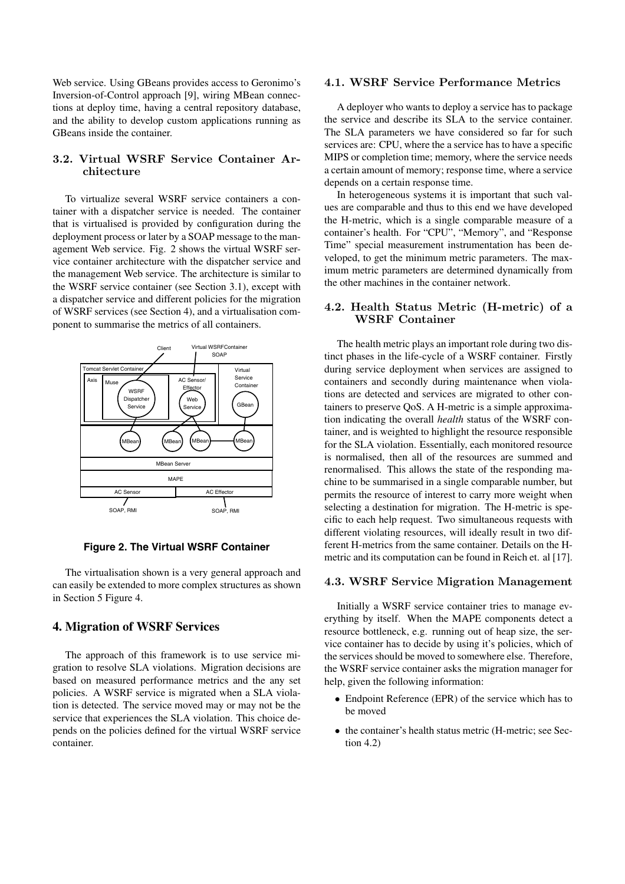Web service. Using GBeans provides access to Geronimo's Inversion-of-Control approach [9], wiring MBean connections at deploy time, having a central repository database, and the ability to develop custom applications running as GBeans inside the container.

### 3.2. Virtual WSRF Service Container Ar $chitecture$

To virtualize several WSRF service containers a container with a dispatcher service is needed. The container that is virtualised is provided by configuration during the deployment process or later by a SOAP message to the management Web service. Fig. 2 shows the virtual WSRF service container architecture with the dispatcher service and the management Web service. The architecture is similar to the WSRF service container (see Section 3.1), except with a dispatcher service and different policies for the migration of WSRF services (see Section 4), and a virtualisation component to summarise the metrics of all containers.



**Figure 2. The Virtual WSRF Container**

The virtualisation shown is a very general approach and can easily be extended to more complex structures as shown in Section 5 Figure 4.

### **4. Migration of WSRF Services**

The approach of this framework is to use service migration to resolve SLA violations. Migration decisions are based on measured performance metrics and the any set policies. A WSRF service is migrated when a SLA violation is detected. The service moved may or may not be the service that experiences the SLA violation. This choice depends on the policies defined for the virtual WSRF service container.

### **4.1. WSRF Service Performance Metrics**

A deployer who wants to deploy a service has to package the service and describe its SLA to the service container. The SLA parameters we have considered so far for such services are: CPU, where the a service has to have a specific MIPS or completion time; memory, where the service needs a certain amount of memory; response time, where a service depends on a certain response time.

In heterogeneous systems it is important that such values are comparable and thus to this end we have developed the H-metric, which is a single comparable measure of a container's health. For "CPU", "Memory", and "Response Time" special measurement instrumentation has been developed, to get the minimum metric parameters. The maximum metric parameters are determined dynamically from the other machines in the container network.

# **4.2. WSRF Container**

The health metric plays an important role during two distinct phases in the life-cycle of a WSRF container. Firstly during service deployment when services are assigned to containers and secondly during maintenance when violations are detected and services are migrated to other containers to preserve QoS. A H-metric is a simple approximation indicating the overall *health* status of the WSRF container, and is weighted to highlight the resource responsible for the SLA violation. Essentially, each monitored resource is normalised, then all of the resources are summed and renormalised. This allows the state of the responding machine to be summarised in a single comparable number, but permits the resource of interest to carry more weight when selecting a destination for migration. The H-metric is specific to each help request. Two simultaneous requests with different violating resources, will ideally result in two different H-metrics from the same container. Details on the Hmetric and its computation can be found in Reich et. al [17].

### **4.3. WSRF Service Migration Management**

Initially a WSRF service container tries to manage everything by itself. When the MAPE components detect a resource bottleneck, e.g. running out of heap size, the service container has to decide by using it's policies, which of the services should be moved to somewhere else. Therefore, the WSRF service container asks the migration manager for help, given the following information:

- *•* Endpoint Reference (EPR) of the service which has to be moved
- the container's health status metric (H-metric; see Section 4.2)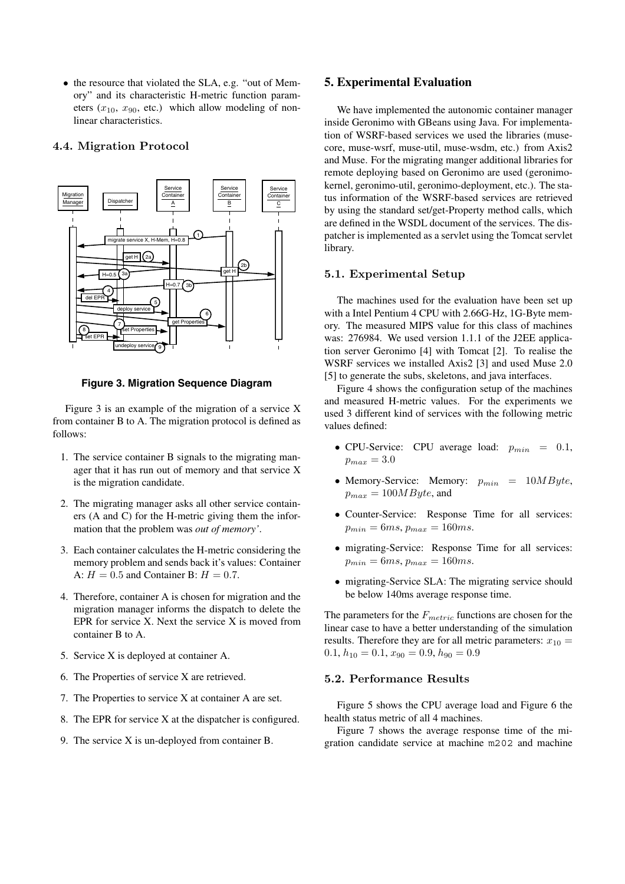• the resource that violated the SLA, e.g. "out of Memory" and its characteristic H-metric function parameters  $(x_{10}, x_{90}, \text{etc.})$  which allow modeling of nonlinear characteristics.

## **4.4. Migration Protocol**



**Figure 3. Migration Sequence Diagram**

Figure 3 is an example of the migration of a service X from container B to A. The migration protocol is defined as follows:

- 1. The service container B signals to the migrating manager that it has run out of memory and that service X is the migration candidate.
- 2. The migrating manager asks all other service containers (A and C) for the H-metric giving them the information that the problem was *out of memory'*.
- 3. Each container calculates the H-metric considering the memory problem and sends back it's values: Container A:  $H = 0.5$  and Container B:  $H = 0.7$ .
- 4. Therefore, container A is chosen for migration and the migration manager informs the dispatch to delete the EPR for service X. Next the service X is moved from container B to A.
- 5. Service X is deployed at container A.
- 6. The Properties of service X are retrieved.
- 7. The Properties to service X at container A are set.
- 8. The EPR for service X at the dispatcher is configured.
- 9. The service X is un-deployed from container B.

### **5. Experimental Evaluation**

We have implemented the autonomic container manager inside Geronimo with GBeans using Java. For implementation of WSRF-based services we used the libraries (musecore, muse-wsrf, muse-util, muse-wsdm, etc.) from Axis2 and Muse. For the migrating manger additional libraries for remote deploying based on Geronimo are used (geronimokernel, geronimo-util, geronimo-deployment, etc.). The status information of the WSRF-based services are retrieved by using the standard set/get-Property method calls, which are defined in the WSDL document of the services. The dispatcher is implemented as a servlet using the Tomcat servlet library.

### **5.1. Experimental Setup**

The machines used for the evaluation have been set up with a Intel Pentium 4 CPU with 2.66G-Hz, 1G-Byte memory. The measured MIPS value for this class of machines was: 276984. We used version 1.1.1 of the J2EE application server Geronimo [4] with Tomcat [2]. To realise the WSRF services we installed Axis2 [3] and used Muse 2.0 [5] to generate the subs, skeletons, and java interfaces.

Figure 4 shows the configuration setup of the machines and measured H-metric values. For the experiments we used 3 different kind of services with the following metric values defined:

- *•* CPU-Service: CPU average load: *pmin* = 0*.*1,  $p_{max} = 3.0$
- *•* Memory-Service: Memory: *pmin* = 10*MByte*,  $p_{max} = 100MByte$ , and
- *•* Counter-Service: Response Time for all services:  $p_{min} = 6ms, p_{max} = 160ms.$
- *•* migrating-Service: Response Time for all services:  $p_{min} = 6ms, p_{max} = 160ms.$
- migrating-Service SLA: The migrating service should be below 140ms average response time.

The parameters for the *Fmetric* functions are chosen for the linear case to have a better understanding of the simulation results. Therefore they are for all metric parameters:  $x_{10} =$  $0.1, h_{10} = 0.1, x_{90} = 0.9, h_{90} = 0.9$ 

### 5.2. Performance Results

Figure 5 shows the CPU average load and Figure 6 the health status metric of all 4 machines.

Figure 7 shows the average response time of the migration candidate service at machine m202 and machine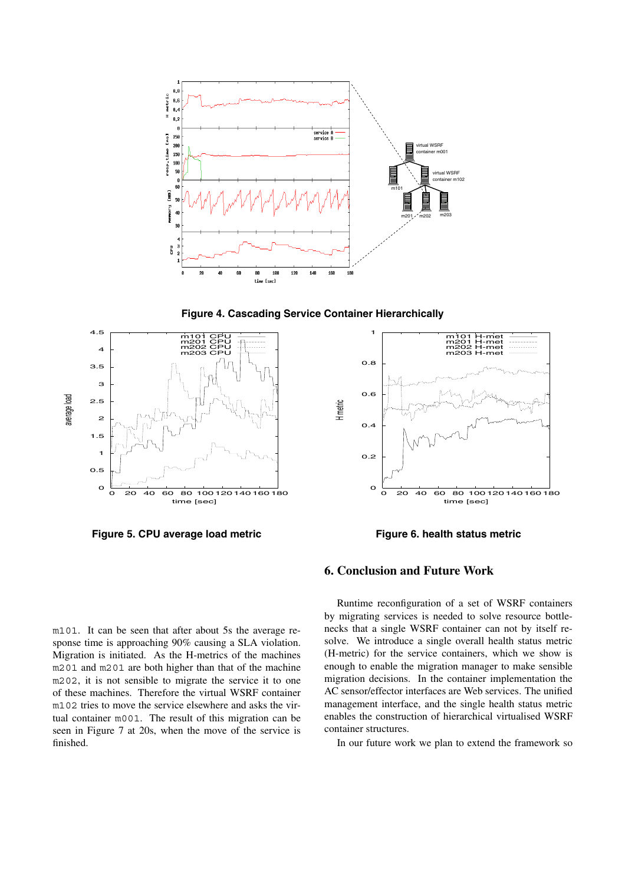

**Figure 4. Cascading Service Container Hierarchically**



**Figure 5. CPU average load metric**



**Figure 6. health status metric**

### **6. Conclusion and Future Work**

m101. It can be seen that after about 5s the average response time is approaching 90% causing a SLA violation. Migration is initiated. As the H-metrics of the machines m201 and m201 are both higher than that of the machine m202, it is not sensible to migrate the service it to one of these machines. Therefore the virtual WSRF container m102 tries to move the service elsewhere and asks the virtual container m001. The result of this migration can be seen in Figure 7 at 20s, when the move of the service is finished.

Runtime reconfiguration of a set of WSRF containers by migrating services is needed to solve resource bottlenecks that a single WSRF container can not by itself resolve. We introduce a single overall health status metric (H-metric) for the service containers, which we show is enough to enable the migration manager to make sensible migration decisions. In the container implementation the AC sensor/effector interfaces are Web services. The unified management interface, and the single health status metric enables the construction of hierarchical virtualised WSRF container structures.

In our future work we plan to extend the framework so